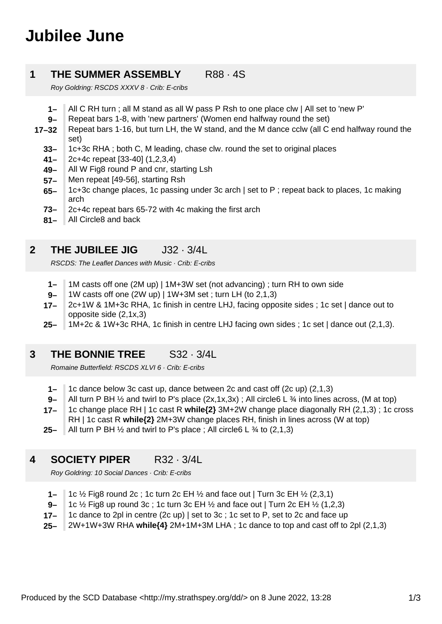# **Jubilee June**

#### **1 THE SUMMER ASSEMBLY** R88 · 4S

Roy Goldring: RSCDS XXXV 8 · Crib: E-cribs

- **1–** All C RH turn ; all M stand as all W pass P Rsh to one place clw | All set to 'new P'
- **9–** Repeat bars 1-8, with 'new partners' (Women end halfway round the set)
- **17–32** Repeat bars 1-16, but turn LH, the W stand, and the M dance cclw (all C end halfway round the set)
	- **33–** 1c+3c RHA ; both C, M leading, chase clw. round the set to original places
	- **41–** 2c+4c repeat [33-40] (1,2,3,4)
	- **49–** All W Fig8 round P and cnr, starting Lsh
	- **57–** Men repeat [49-56], starting Rsh
	- **65–** 1c+3c change places, 1c passing under 3c arch | set to P ; repeat back to places, 1c making arch
	- **73–** 2c+4c repeat bars 65-72 with 4c making the first arch
	- **81–** All Circle8 and back

#### **2 THE JUBILEE JIG** J32 · 3/4L

RSCDS: The Leaflet Dances with Music · Crib: E-cribs

- **1–** 1M casts off one (2M up) | 1M+3W set (not advancing) ; turn RH to own side
- **9–** 1W casts off one (2W up) | 1W+3M set ; turn LH (to 2,1,3)
- **17–** 2c+1W & 1M+3c RHA, 1c finish in centre LHJ, facing opposite sides ; 1c set | dance out to opposite side (2,1x,3)
- **25–** 1M+2c & 1W+3c RHA, 1c finish in centre LHJ facing own sides ; 1c set | dance out (2,1,3).

#### **3 THE BONNIE TREE** S32 · 3/4L

Romaine Butterfield: RSCDS XLVI 6 · Crib: E-cribs

- **1–** 1c dance below 3c cast up, dance between 2c and cast off (2c up) (2,1,3)
- **9–** All turn P BH  $\frac{1}{2}$  and twirl to P's place  $(2x,1x,3x)$ ; All circle6 L  $\frac{3}{4}$  into lines across, (M at top)
- **17–** 1c change place RH | 1c cast R **while{2}** 3M+2W change place diagonally RH (2,1,3) ; 1c cross RH | 1c cast R **while{2}** 2M+3W change places RH, finish in lines across (W at top)
- **25–** All turn P BH ½ and twirl to P's place ; All circle6 L ¾ to (2,1,3)

#### **4 SOCIETY PIPER** R32 · 3/4L

Roy Goldring: 10 Social Dances · Crib: E-cribs

- **1–** 1c ½ Fig8 round 2c ; 1c turn 2c EH ½ and face out | Turn 3c EH ½ (2,3,1)
- **9–** 1c ½ Fig8 up round 3c ; 1c turn 3c EH ½ and face out | Turn 2c EH ½ (1,2,3)
- **17–** 1c dance to 2pl in centre (2c up) | set to 3c ; 1c set to P, set to 2c and face up
- **25–** 2W+1W+3W RHA **while{4}** 2M+1M+3M LHA ; 1c dance to top and cast off to 2pl (2,1,3)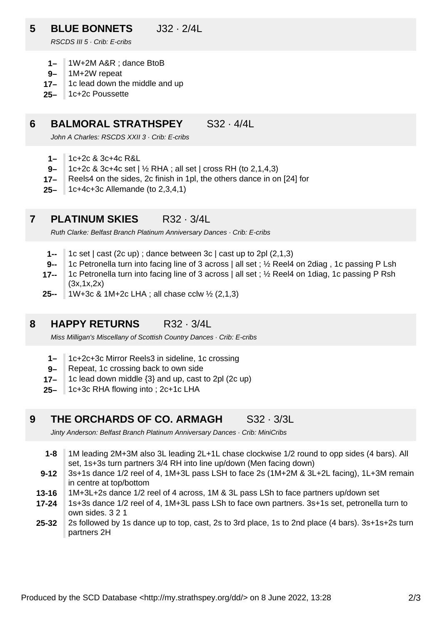### **5 BLUE BONNETS** J32 · 2/4L

RSCDS III 5 · Crib: E-cribs

- **1–** 1W+2M A&R ; dance BtoB
- **9–** 1M+2W repeat
- **17–** 1c lead down the middle and up
- **25–** 1c+2c Poussette

#### **6 BALMORAL STRATHSPEY** S32 · 4/4L

John A Charles: RSCDS XXII 3 · Crib: E-cribs

- **1–** 1c+2c & 3c+4c R&L
- **9–** 1c+2c & 3c+4c set | ½ RHA ; all set | cross RH (to 2,1,4,3)
- **17–** Reels4 on the sides, 2c finish in 1pl, the others dance in on [24] for
- **25–** 1c+4c+3c Allemande (to 2,3,4,1)

#### **7 PLATINUM SKIES** R32 · 3/4L

Ruth Clarke: Belfast Branch Platinum Anniversary Dances · Crib: E-cribs

- **1--** 1c set | cast (2c up) ; dance between 3c | cast up to 2pl (2,1,3)
- **9--** 1c Petronella turn into facing line of 3 across | all set ; ½ Reel4 on 2diag , 1c passing P Lsh
- **17--** 1c Petronella turn into facing line of 3 across | all set ; ½ Reel4 on 1diag, 1c passing P Rsh (3x,1x,2x)
- **25--** 1W+3c & 1M+2c LHA ; all chase cclw ½ (2,1,3)

#### **8 HAPPY RETURNS** R32 · 3/4L

Miss Milligan's Miscellany of Scottish Country Dances · Crib: E-cribs

- **1–** 1c+2c+3c Mirror Reels3 in sideline, 1c crossing
- **9–** Repeat, 1c crossing back to own side
- **17–** 1c lead down middle {3} and up, cast to 2pl (2c up)
- **25–** 1c+3c RHA flowing into ; 2c+1c LHA

#### **9 THE ORCHARDS OF CO. ARMAGH** S32 · 3/3L

Jinty Anderson: Belfast Branch Platinum Anniversary Dances · Crib: MiniCribs

- **1-8** 1M leading 2M+3M also 3L leading 2L+1L chase clockwise 1/2 round to opp sides (4 bars). All set, 1s+3s turn partners 3/4 RH into line up/down (Men facing down)
- **9-12** 3s+1s dance 1/2 reel of 4, 1M+3L pass LSH to face 2s (1M+2M & 3L+2L facing), 1L+3M remain in centre at top/bottom
- **13-16** 1M+3L+2s dance 1/2 reel of 4 across, 1M & 3L pass LSh to face partners up/down set
- **17-24** 1s+3s dance 1/2 reel of 4, 1M+3L pass LSh to face own partners. 3s+1s set, petronella turn to own sides. 3 2 1
- **25-32** 2s followed by 1s dance up to top, cast, 2s to 3rd place, 1s to 2nd place (4 bars). 3s+1s+2s turn partners 2H